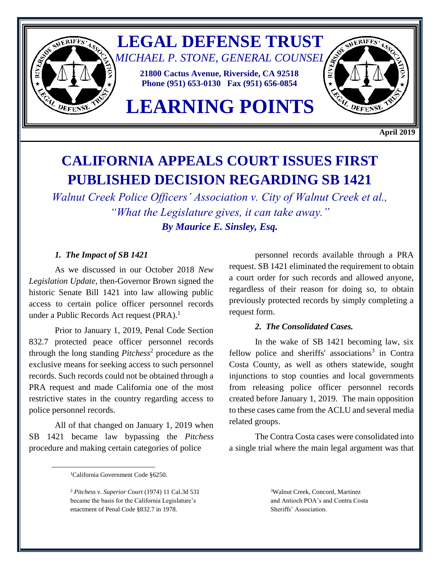

**April 2019**

# **CALIFORNIA APPEALS COURT ISSUES FIRST PUBLISHED DECISION REGARDING SB 1421**

*Walnut Creek Police Officers' Association v. City of Walnut Creek et al., "What the Legislature gives, it can take away." By Maurice E. Sinsley, Esq.*

### *1. The Impact of SB 1421*

As we discussed in our October 2018 *New Legislation Update*, then-Governor Brown signed the historic Senate Bill 1421 into law allowing public access to certain police officer personnel records under a Public Records Act request  $(PRA).<sup>1</sup>$ 

Prior to January 1, 2019, Penal Code Section 832.7 protected peace officer personnel records through the long standing *Pitchess*<sup>2</sup> procedure as the exclusive means for seeking access to such personnel records. Such records could not be obtained through a PRA request and made California one of the most restrictive states in the country regarding access to police personnel records.

All of that changed on January 1, 2019 when SB 1421 became law bypassing the *Pitchess* procedure and making certain categories of police

personnel records available through a PRA request. SB 1421 eliminated the requirement to obtain a court order for such records and allowed anyone, regardless of their reason for doing so, to obtain previously protected records by simply completing a request form.

#### *2. The Consolidated Cases.*

In the wake of SB 1421 becoming law, six fellow police and sheriffs' associations<sup>3</sup> in Contra Costa County, as well as others statewide, sought injunctions to stop counties and local governments from releasing police officer personnel records created before January 1, 2019. The main opposition to these cases came from the ACLU and several media related groups.

The Contra Costa cases were consolidated into a single trial where the main legal argument was that

 $\overline{\phantom{a}}$ 

<sup>&</sup>lt;sup>1</sup>California Government Code §6250.

<sup>2</sup> *Pitchess v. Superior Court* (1974) 11 Cal.3d 531 became the basis for the California Legislature's enactment of Penal Code §832.7 in 1978.

<sup>&</sup>lt;sup>3</sup>Walnut Creek, Concord, Martinez and Antioch POA's and Contra Costa Sheriffs' Association.